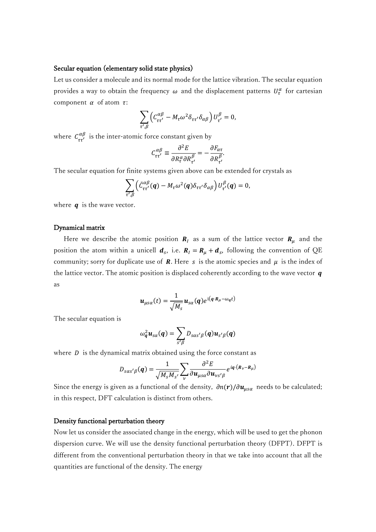## Secular equation (elementary solid state physics)

Let us consider a molecule and its normal mode for the lattice vibration. The secular equation provides a way to obtain the frequency  $\omega$  and the displacement patterns  $U^{\alpha}_{\tau}$  for cartesian component  $\alpha$  of atom  $\tau$ :

$$
\sum_{\tau',\beta}\left(C_{\tau\tau'}^{\alpha\beta}-M_{\tau}\omega^2\delta_{\tau\tau'}\delta_{\alpha\beta}\right)U_{\tau'}^{\beta}=0,
$$

where  $C_{\tau\tau'}^{\alpha\beta}$  is the inter-atomic force constant given by

$$
C_{\tau\tau'}^{\alpha\beta} \equiv \frac{\partial^2 E}{\partial R_\tau^\alpha \partial R_{\tau'}^\beta} = -\frac{\partial F_{\alpha\tau}}{\partial R_{\tau'}^\beta}.
$$

The secular equation for finite systems given above can be extended for crystals as

$$
\sum_{\tau',\beta}\left(\tilde{C}_{\tau\tau'}^{\alpha\beta}(q)-M_{\tau}\omega^2(q)\delta_{\tau\tau'}\delta_{\alpha\beta}\right)U_{\tau'}^{\beta}(q)=0,
$$

where  $q$  is the wave vector.

## Dynamical matrix

Here we describe the atomic position  $R_l$  as a sum of the lattice vector  $R_\mu$  and the position the atom within a unicell  $d_s$ , i.e.  $R_l = R_\mu + d_s$ , following the convention of QE community; sorry for duplicate use of **R**. Here s is the atomic species and  $\mu$  is the index of the lattice vector. The atomic position is displaced coherently according to the wave vector  $q$ as

$$
\boldsymbol{u}_{\mu s\alpha}(t) = \frac{1}{\sqrt{M_s}} \boldsymbol{u}_{s\alpha}(q) e^{\mathrm{i} (q \cdot \boldsymbol{R}_{\mu} - \omega_q t)}
$$

The secular equation is

$$
\omega_q^2 \boldsymbol{u}_{s\alpha}(\boldsymbol{q}) = \sum_{s'\beta} D_{s\alpha s'\beta}(\boldsymbol{q}) \boldsymbol{u}_{s'\beta}(\boldsymbol{q})
$$

where  $D$  is the dynamical matrix obtained using the force constant as

$$
D_{s\alpha s'\beta}(\boldsymbol{q}) = \frac{1}{\sqrt{M_s M_{s'}}} \sum_{\nu} \frac{\partial^2 E}{\partial \boldsymbol{u}_{\mu s\alpha} \partial \boldsymbol{u}_{\nu s'\beta}} e^{i \boldsymbol{q} \cdot (\boldsymbol{R}_{\nu} - \boldsymbol{R}_{\mu})}
$$

Since the energy is given as a functional of the density,  $\partial n(r)/\partial u_{\mu s\alpha}$  needs to be calculated; in this respect, DFT calculation is distinct from others.

## Density functional perturbation theory

Now let us consider the associated change in the energy, which will be used to get the phonon dispersion curve. We will use the density functional perturbation theory (DFPT). DFPT is different from the conventional perturbation theory in that we take into account that all the quantities are functional of the density. The energy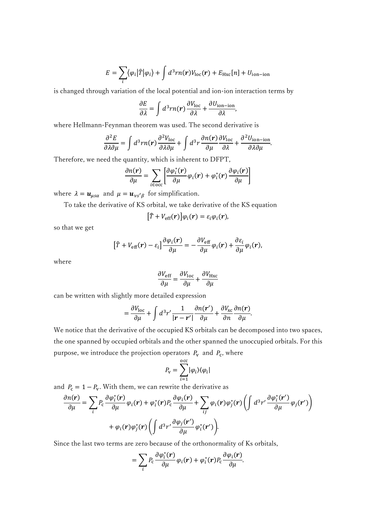$$
E = \sum_{i} \langle \varphi_{i} | \hat{T} | \varphi_{i} \rangle + \int d^{3}rn(\mathbf{r})V_{\text{loc}}(\mathbf{r}) + E_{\text{Hxc}}[n] + U_{\text{ion-ion}}
$$

is changed through variation of the local potential and ion-ion interaction terms by

$$
\frac{\partial E}{\partial \lambda} = \int d^3 r n(r) \frac{\partial V_{\text{loc}}}{\partial \lambda} + \frac{\partial U_{\text{ion-ion}}}{\partial \lambda},
$$

where Hellmann-Feynman theorem was used. The second derivative is

$$
\frac{\partial^2 E}{\partial \lambda \partial \mu} = \int d^3 r n(\mathbf{r}) \frac{\partial^2 V_{\text{loc}}}{\partial \lambda \partial \mu} + \int d^3 r \frac{\partial n(\mathbf{r})}{\partial \mu} \frac{\partial V_{\text{loc}}}{\partial \lambda} + \frac{\partial^2 U_{\text{ion-ion}}}{\partial \lambda \partial \mu}.
$$

Therefore, we need the quantity, which is inherent to DFPT,

$$
\frac{\partial n(\mathbf{r})}{\partial \mu} = \sum_{i \in \text{occ}} \left[ \frac{\partial \varphi_i^*(\mathbf{r})}{\partial \mu} \varphi_i(\mathbf{r}) + \varphi_i^*(\mathbf{r}) \frac{\partial \varphi_i(\mathbf{r})}{\partial \mu} \right]
$$

where  $\lambda = \mathbf{u}_{\mu s\alpha}$  and  $\mu = \mathbf{u}_{\nu s'\beta}$  for simplification.

To take the derivative of KS orbital, we take derivative of the KS equation

$$
[\hat{T}+V_{\rm eff}(r)]\varphi_i(r)=\varepsilon_i\varphi_i(r),
$$

so that we get

$$
[\hat{T} + V_{\rm eff}(\mathbf{r}) - \varepsilon_i] \frac{\partial \varphi_i(\mathbf{r})}{\partial \mu} = -\frac{\partial V_{\rm eff}}{\partial \mu} \varphi_i(\mathbf{r}) + \frac{\partial \varepsilon_i}{\partial \mu} \varphi_i(\mathbf{r}),
$$

where

$$
\frac{\partial V_{\rm eff}}{\partial \mu} = \frac{\partial V_{\rm loc}}{\partial \mu} + \frac{\partial V_{\rm Hxc}}{\partial \mu}
$$

can be written with slightly more detailed expression

$$
= \frac{\partial V_{\text{loc}}}{\partial \mu} + \int d^3 r' \frac{1}{|\mathbf{r} - \mathbf{r}'|} \frac{\partial n(\mathbf{r}')}{\partial \mu} + \frac{\partial V_{\text{xc}}}{\partial n} \frac{\partial n(\mathbf{r})}{\partial \mu}.
$$

We notice that the derivative of the occupied KS orbitals can be decomposed into two spaces, the one spanned by occupied orbitals and the other spanned the unoccupied orbitals. For this purpose, we introduce the projection operators  $P_v$  and  $P_c$ , where

$$
P_{\rm v}=\sum_{i=1}^{{\rm occ}}|\varphi_i\rangle\langle\varphi_i|
$$

and  $P_c = 1 - P_v$ . With them, we can rewrite the derivative as

$$
\frac{\partial n(\mathbf{r})}{\partial \mu} = \sum_{i} P_{c} \frac{\partial \varphi_{i}^{*}(\mathbf{r})}{\partial \mu} \varphi_{i}(\mathbf{r}) + \varphi_{i}^{*}(\mathbf{r}) P_{c} \frac{\partial \varphi_{i}(\mathbf{r})}{\partial \mu} + \sum_{ij} \varphi_{i}(\mathbf{r}) \varphi_{j}^{*}(\mathbf{r}) \left( \int d^{3} r' \frac{\partial \varphi_{i}^{*}(\mathbf{r}')}{\partial \mu} \varphi_{j}(\mathbf{r}') \right) + \varphi_{i}(\mathbf{r}) \varphi_{j}^{*}(\mathbf{r}) \left( \int d^{3} r' \frac{\partial \varphi_{j}(\mathbf{r}')}{\partial \mu} \varphi_{i}^{*}(\mathbf{r}') \right).
$$

Since the last two terms are zero because of the orthonormality of Ks orbitals,

$$
= \sum_{i} P_{\rm c} \frac{\partial \varphi_i^*(\mathbf{r})}{\partial \mu} \varphi_i(\mathbf{r}) + \varphi_i^*(\mathbf{r}) P_{\rm c} \frac{\partial \varphi_i(\mathbf{r})}{\partial \mu}.
$$